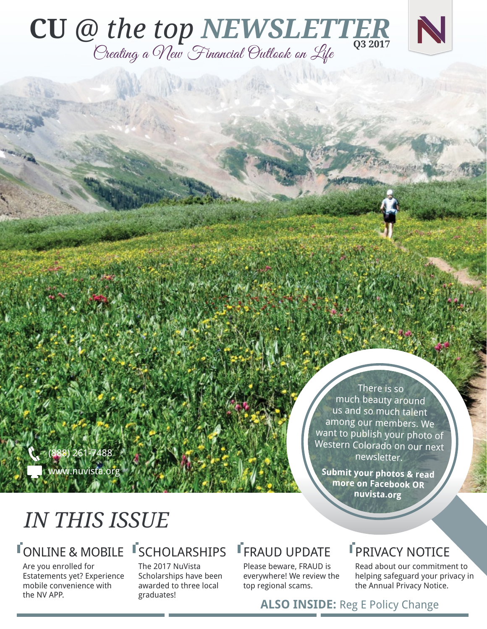## **CU** *@ the top NEWSLETTER* Creating a New Financial Outlook on Life **Q3 2017**

(888) 261-7488 www.nuvista.org

There is so much beauty around us and so much talent among our members. We want to publish your photo of Western Colorado on our next newsletter.

**Submit your photos & read more on Facebook OR nuvista.org**

## *IN THIS ISSUE*

## **TONLINE & MOBILE**

Are you enrolled for Estatements yet? Experience mobile convenience with the NV APP.

#### **TSCHOLARSHIPS** The 2017 NuVista

Scholarships have been awarded to three local graduates!

## FRAUD UPDATE

Please beware, FRAUD is everywhere! We review the top regional scams.

## **FPRIVACY NOTICE**

Read about our commitment to helping safeguard your privacy in the Annual Privacy Notice.

**ALSO INSIDE:** Reg E Policy Change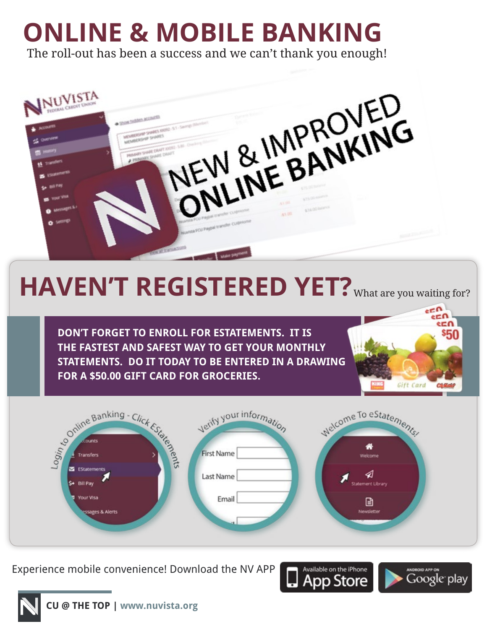# **ONLINE & MOBILE BANKING**

The roll-out has been a success and we can't thank you enough!



# HAVEN'T REGISTERED YET? What are you waiting for?

**DON'T FORGET TO ENROLL FOR ESTATEMENTS. IT IS THE FASTEST AND SAFEST WAY TO GET YOUR MONTHLY STATEMENTS. DO IT TODAY TO BE ENTERED IN A DRAWING FOR A \$50.00 GIFT CARD FOR GROCERIES.**





Experience mobile convenience! Download the NV APP



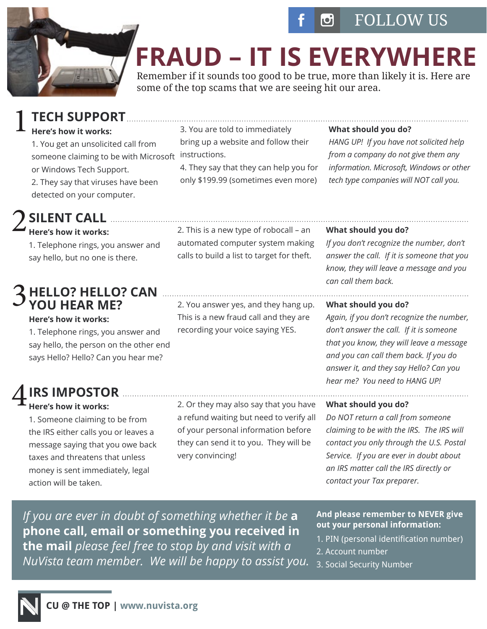



## **FRAUD – IT IS EVERYWHERE**

Remember if it sounds too good to be true, more than likely it is. Here are some of the top scams that we are seeing hit our area.

### **TECH SUPPORT** 1

#### **Here's how it works:**

1. You get an unsolicited call from someone claiming to be with Microsoft instructions. or Windows Tech Support. 2. They say that viruses have been detected on your computer.

### **SILENT CALL** 2

#### **Here's how it works:**

1. Telephone rings, you answer and say hello, but no one is there.

#### **HELLO? HELLO? CAN YOU HEAR ME?** 3

#### **Here's how it works:**

1. Telephone rings, you answer and say hello, the person on the other end says Hello? Hello? Can you hear me?

### **IRS IMPOSTOR** 4

#### **Here's how it works:**

1. Someone claiming to be from the IRS either calls you or leaves a message saying that you owe back taxes and threatens that unless money is sent immediately, legal action will be taken.

2. Or they may also say that you have a refund waiting but need to verify all of your personal information before they can send it to you. They will be very convincing!

#### **What should you do?**

*HANG UP! If you have not solicited help from a company do not give them any information. Microsoft, Windows or other tech type companies will NOT call you.*

2. This is a new type of robocall – an automated computer system making calls to build a list to target for theft.

2. You answer yes, and they hang up. This is a new fraud call and they are recording your voice saying YES.

4. They say that they can help you for only \$199.99 (sometimes even more)

3. You are told to immediately bring up a website and follow their

#### **What should you do?**

*If you don't recognize the number, don't answer the call. If it is someone that you know, they will leave a message and you can call them back.*

#### **What should you do?**

*Again, if you don't recognize the number, don't answer the call. If it is someone that you know, they will leave a message and you can call them back. If you do answer it, and they say Hello? Can you hear me? You need to HANG UP!*

#### **What should you do?**

*Do NOT return a call from someone claiming to be with the IRS. The IRS will contact you only through the U.S. Postal Service. If you are ever in doubt about an IRS matter call the IRS directly or contact your Tax preparer.*

*If you are ever in doubt of something whether it be* **a phone call, email or something you received in the mail** *please feel free to stop by and visit with a NuVista team member. We will be happy to assist you.*

**And please remember to NEVER give out your personal information:** 

- 1. PIN (personal identification number)
- 2. Account number
- 3. Social Security Number